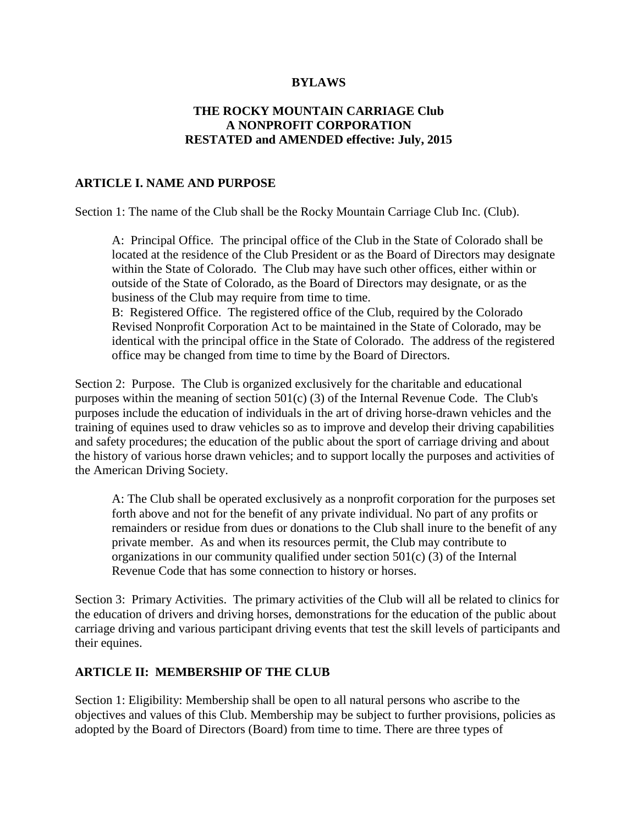#### **BYLAWS**

### **THE ROCKY MOUNTAIN CARRIAGE Club A NONPROFIT CORPORATION RESTATED and AMENDED effective: July, 2015**

#### **ARTICLE I. NAME AND PURPOSE**

Section 1: The name of the Club shall be the Rocky Mountain Carriage Club Inc. (Club).

A: Principal Office. The principal office of the Club in the State of Colorado shall be located at the residence of the Club President or as the Board of Directors may designate within the State of Colorado. The Club may have such other offices, either within or outside of the State of Colorado, as the Board of Directors may designate, or as the business of the Club may require from time to time.

B: Registered Office. The registered office of the Club, required by the Colorado Revised Nonprofit Corporation Act to be maintained in the State of Colorado, may be identical with the principal office in the State of Colorado. The address of the registered office may be changed from time to time by the Board of Directors.

Section 2: Purpose. The Club is organized exclusively for the charitable and educational purposes within the meaning of section 501(c) (3) of the Internal Revenue Code. The Club's purposes include the education of individuals in the art of driving horse-drawn vehicles and the training of equines used to draw vehicles so as to improve and develop their driving capabilities and safety procedures; the education of the public about the sport of carriage driving and about the history of various horse drawn vehicles; and to support locally the purposes and activities of the American Driving Society.

A: The Club shall be operated exclusively as a nonprofit corporation for the purposes set forth above and not for the benefit of any private individual. No part of any profits or remainders or residue from dues or donations to the Club shall inure to the benefit of any private member. As and when its resources permit, the Club may contribute to organizations in our community qualified under section 501(c) (3) of the Internal Revenue Code that has some connection to history or horses.

Section 3: Primary Activities. The primary activities of the Club will all be related to clinics for the education of drivers and driving horses, demonstrations for the education of the public about carriage driving and various participant driving events that test the skill levels of participants and their equines.

#### **ARTICLE II: MEMBERSHIP OF THE CLUB**

Section 1: Eligibility: Membership shall be open to all natural persons who ascribe to the objectives and values of this Club. Membership may be subject to further provisions, policies as adopted by the Board of Directors (Board) from time to time. There are three types of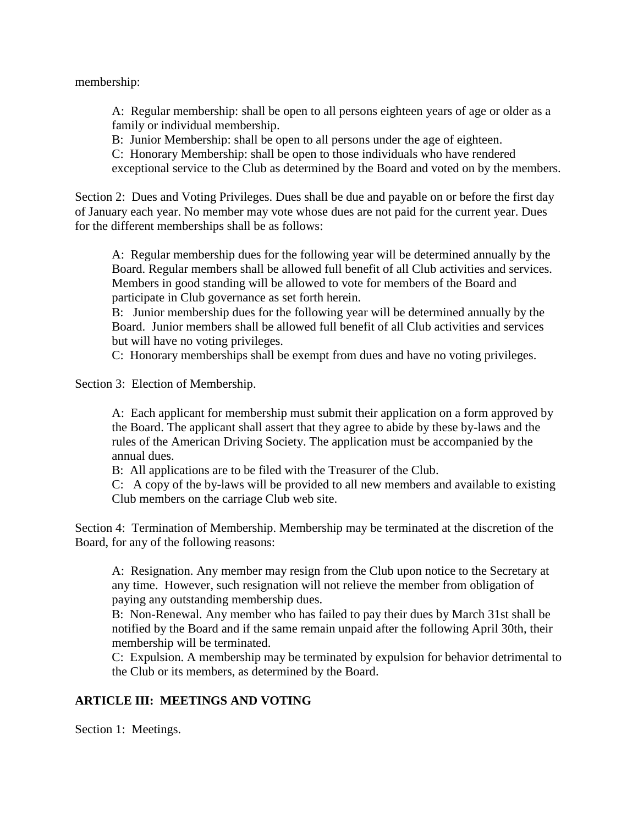membership:

A: Regular membership: shall be open to all persons eighteen years of age or older as a family or individual membership.

B: Junior Membership: shall be open to all persons under the age of eighteen.

C: Honorary Membership: shall be open to those individuals who have rendered

exceptional service to the Club as determined by the Board and voted on by the members.

Section 2: Dues and Voting Privileges. Dues shall be due and payable on or before the first day of January each year. No member may vote whose dues are not paid for the current year. Dues for the different memberships shall be as follows:

A: Regular membership dues for the following year will be determined annually by the Board. Regular members shall be allowed full benefit of all Club activities and services. Members in good standing will be allowed to vote for members of the Board and participate in Club governance as set forth herein.

B: Junior membership dues for the following year will be determined annually by the Board. Junior members shall be allowed full benefit of all Club activities and services but will have no voting privileges.

C: Honorary memberships shall be exempt from dues and have no voting privileges.

Section 3: Election of Membership.

A: Each applicant for membership must submit their application on a form approved by the Board. The applicant shall assert that they agree to abide by these by-laws and the rules of the American Driving Society. The application must be accompanied by the annual dues.

B: All applications are to be filed with the Treasurer of the Club.

C: A copy of the by-laws will be provided to all new members and available to existing Club members on the carriage Club web site.

Section 4: Termination of Membership. Membership may be terminated at the discretion of the Board, for any of the following reasons:

A: Resignation. Any member may resign from the Club upon notice to the Secretary at any time. However, such resignation will not relieve the member from obligation of paying any outstanding membership dues.

B: Non-Renewal. Any member who has failed to pay their dues by March 31st shall be notified by the Board and if the same remain unpaid after the following April 30th, their membership will be terminated.

C: Expulsion. A membership may be terminated by expulsion for behavior detrimental to the Club or its members, as determined by the Board.

### **ARTICLE III: MEETINGS AND VOTING**

Section 1: Meetings.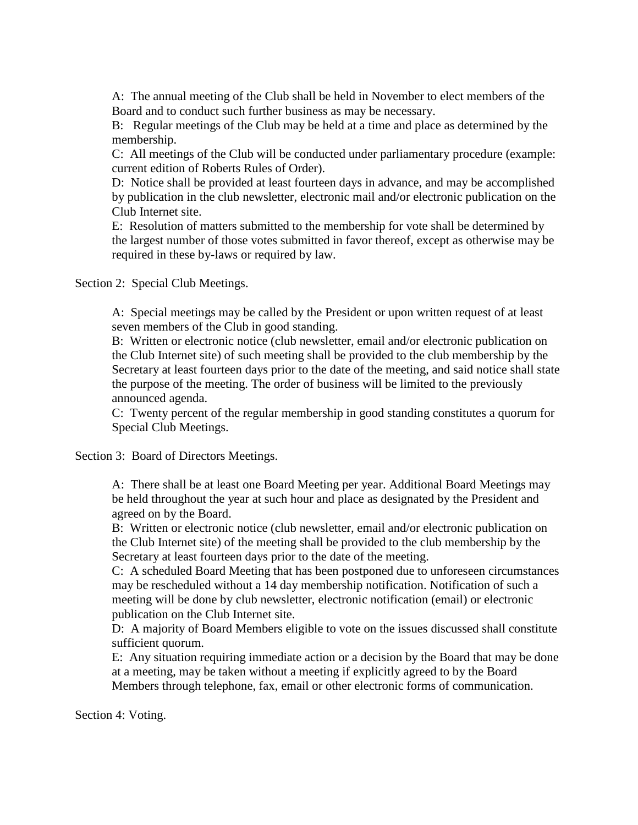A: The annual meeting of the Club shall be held in November to elect members of the Board and to conduct such further business as may be necessary.

B: Regular meetings of the Club may be held at a time and place as determined by the membership.

C: All meetings of the Club will be conducted under parliamentary procedure (example: current edition of Roberts Rules of Order).

D: Notice shall be provided at least fourteen days in advance, and may be accomplished by publication in the club newsletter, electronic mail and/or electronic publication on the Club Internet site.

E: Resolution of matters submitted to the membership for vote shall be determined by the largest number of those votes submitted in favor thereof, except as otherwise may be required in these by-laws or required by law.

Section 2: Special Club Meetings.

A: Special meetings may be called by the President or upon written request of at least seven members of the Club in good standing.

B: Written or electronic notice (club newsletter, email and/or electronic publication on the Club Internet site) of such meeting shall be provided to the club membership by the Secretary at least fourteen days prior to the date of the meeting, and said notice shall state the purpose of the meeting. The order of business will be limited to the previously announced agenda.

C: Twenty percent of the regular membership in good standing constitutes a quorum for Special Club Meetings.

Section 3: Board of Directors Meetings.

A: There shall be at least one Board Meeting per year. Additional Board Meetings may be held throughout the year at such hour and place as designated by the President and agreed on by the Board.

B: Written or electronic notice (club newsletter, email and/or electronic publication on the Club Internet site) of the meeting shall be provided to the club membership by the Secretary at least fourteen days prior to the date of the meeting.

C: A scheduled Board Meeting that has been postponed due to unforeseen circumstances may be rescheduled without a 14 day membership notification. Notification of such a meeting will be done by club newsletter, electronic notification (email) or electronic publication on the Club Internet site.

D: A majority of Board Members eligible to vote on the issues discussed shall constitute sufficient quorum.

E: Any situation requiring immediate action or a decision by the Board that may be done at a meeting, may be taken without a meeting if explicitly agreed to by the Board Members through telephone, fax, email or other electronic forms of communication.

Section 4: Voting.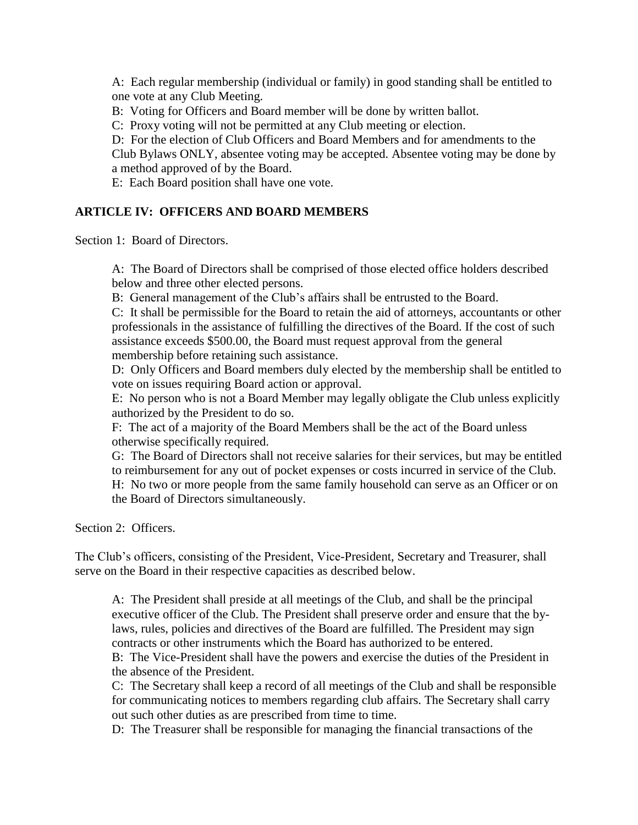A: Each regular membership (individual or family) in good standing shall be entitled to one vote at any Club Meeting.

B: Voting for Officers and Board member will be done by written ballot.

C: Proxy voting will not be permitted at any Club meeting or election.

D: For the election of Club Officers and Board Members and for amendments to the Club Bylaws ONLY, absentee voting may be accepted. Absentee voting may be done by

a method approved of by the Board.

E: Each Board position shall have one vote.

### **ARTICLE IV: OFFICERS AND BOARD MEMBERS**

Section 1: Board of Directors.

A: The Board of Directors shall be comprised of those elected office holders described below and three other elected persons.

B: General management of the Club's affairs shall be entrusted to the Board.

C: It shall be permissible for the Board to retain the aid of attorneys, accountants or other professionals in the assistance of fulfilling the directives of the Board. If the cost of such assistance exceeds \$500.00, the Board must request approval from the general membership before retaining such assistance.

D: Only Officers and Board members duly elected by the membership shall be entitled to vote on issues requiring Board action or approval.

E: No person who is not a Board Member may legally obligate the Club unless explicitly authorized by the President to do so.

F: The act of a majority of the Board Members shall be the act of the Board unless otherwise specifically required.

G: The Board of Directors shall not receive salaries for their services, but may be entitled to reimbursement for any out of pocket expenses or costs incurred in service of the Club.

H: No two or more people from the same family household can serve as an Officer or on the Board of Directors simultaneously.

Section 2: Officers.

The Club's officers, consisting of the President, Vice-President, Secretary and Treasurer, shall serve on the Board in their respective capacities as described below.

A: The President shall preside at all meetings of the Club, and shall be the principal executive officer of the Club. The President shall preserve order and ensure that the bylaws, rules, policies and directives of the Board are fulfilled. The President may sign contracts or other instruments which the Board has authorized to be entered.

B: The Vice-President shall have the powers and exercise the duties of the President in the absence of the President.

C: The Secretary shall keep a record of all meetings of the Club and shall be responsible for communicating notices to members regarding club affairs. The Secretary shall carry out such other duties as are prescribed from time to time.

D: The Treasurer shall be responsible for managing the financial transactions of the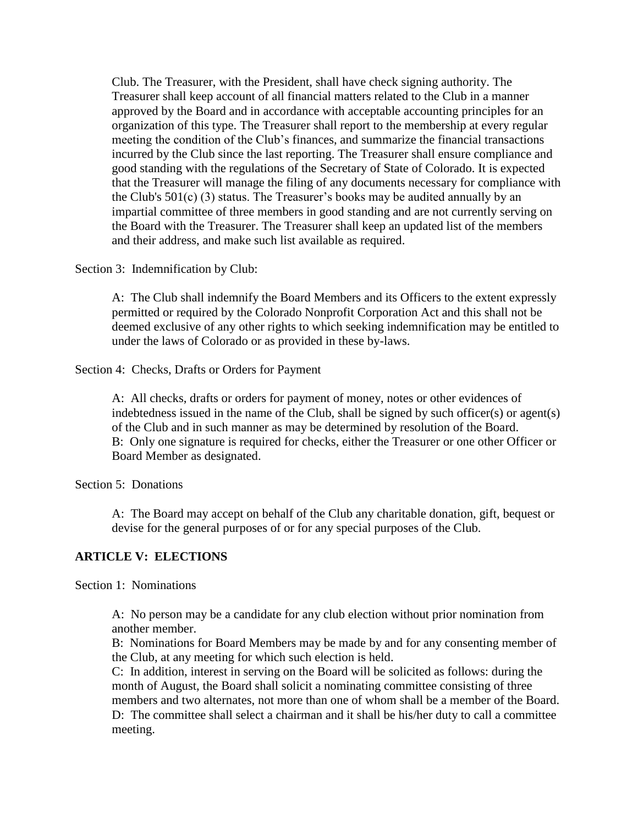Club. The Treasurer, with the President, shall have check signing authority. The Treasurer shall keep account of all financial matters related to the Club in a manner approved by the Board and in accordance with acceptable accounting principles for an organization of this type. The Treasurer shall report to the membership at every regular meeting the condition of the Club's finances, and summarize the financial transactions incurred by the Club since the last reporting. The Treasurer shall ensure compliance and good standing with the regulations of the Secretary of State of Colorado. It is expected that the Treasurer will manage the filing of any documents necessary for compliance with the Club's 501(c) (3) status. The Treasurer's books may be audited annually by an impartial committee of three members in good standing and are not currently serving on the Board with the Treasurer. The Treasurer shall keep an updated list of the members and their address, and make such list available as required.

Section 3: Indemnification by Club:

A: The Club shall indemnify the Board Members and its Officers to the extent expressly permitted or required by the Colorado Nonprofit Corporation Act and this shall not be deemed exclusive of any other rights to which seeking indemnification may be entitled to under the laws of Colorado or as provided in these by-laws.

Section 4: Checks, Drafts or Orders for Payment

A: All checks, drafts or orders for payment of money, notes or other evidences of indebtedness issued in the name of the Club, shall be signed by such officer(s) or agent(s) of the Club and in such manner as may be determined by resolution of the Board. B: Only one signature is required for checks, either the Treasurer or one other Officer or Board Member as designated.

Section 5: Donations

A: The Board may accept on behalf of the Club any charitable donation, gift, bequest or devise for the general purposes of or for any special purposes of the Club.

# **ARTICLE V: ELECTIONS**

Section 1: Nominations

A: No person may be a candidate for any club election without prior nomination from another member.

B: Nominations for Board Members may be made by and for any consenting member of the Club, at any meeting for which such election is held.

C: In addition, interest in serving on the Board will be solicited as follows: during the month of August, the Board shall solicit a nominating committee consisting of three members and two alternates, not more than one of whom shall be a member of the Board. D: The committee shall select a chairman and it shall be his/her duty to call a committee meeting.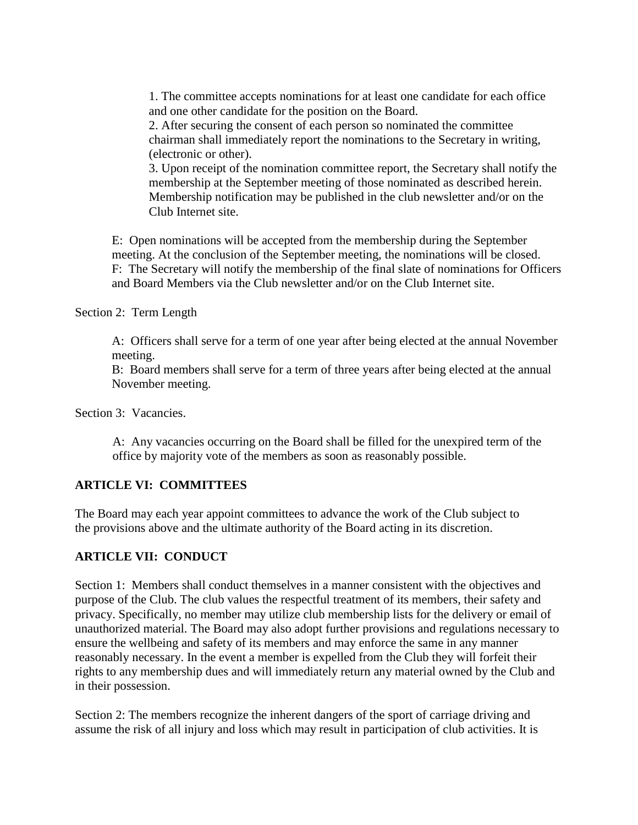1. The committee accepts nominations for at least one candidate for each office and one other candidate for the position on the Board.

2. After securing the consent of each person so nominated the committee chairman shall immediately report the nominations to the Secretary in writing, (electronic or other).

3. Upon receipt of the nomination committee report, the Secretary shall notify the membership at the September meeting of those nominated as described herein. Membership notification may be published in the club newsletter and/or on the Club Internet site.

E: Open nominations will be accepted from the membership during the September meeting. At the conclusion of the September meeting, the nominations will be closed. F: The Secretary will notify the membership of the final slate of nominations for Officers and Board Members via the Club newsletter and/or on the Club Internet site.

Section 2: Term Length

A: Officers shall serve for a term of one year after being elected at the annual November meeting.

B: Board members shall serve for a term of three years after being elected at the annual November meeting.

Section 3: Vacancies.

A: Any vacancies occurring on the Board shall be filled for the unexpired term of the office by majority vote of the members as soon as reasonably possible.

### **ARTICLE VI: COMMITTEES**

The Board may each year appoint committees to advance the work of the Club subject to the provisions above and the ultimate authority of the Board acting in its discretion.

### **ARTICLE VII: CONDUCT**

Section 1: Members shall conduct themselves in a manner consistent with the objectives and purpose of the Club. The club values the respectful treatment of its members, their safety and privacy. Specifically, no member may utilize club membership lists for the delivery or email of unauthorized material. The Board may also adopt further provisions and regulations necessary to ensure the wellbeing and safety of its members and may enforce the same in any manner reasonably necessary. In the event a member is expelled from the Club they will forfeit their rights to any membership dues and will immediately return any material owned by the Club and in their possession.

Section 2: The members recognize the inherent dangers of the sport of carriage driving and assume the risk of all injury and loss which may result in participation of club activities. It is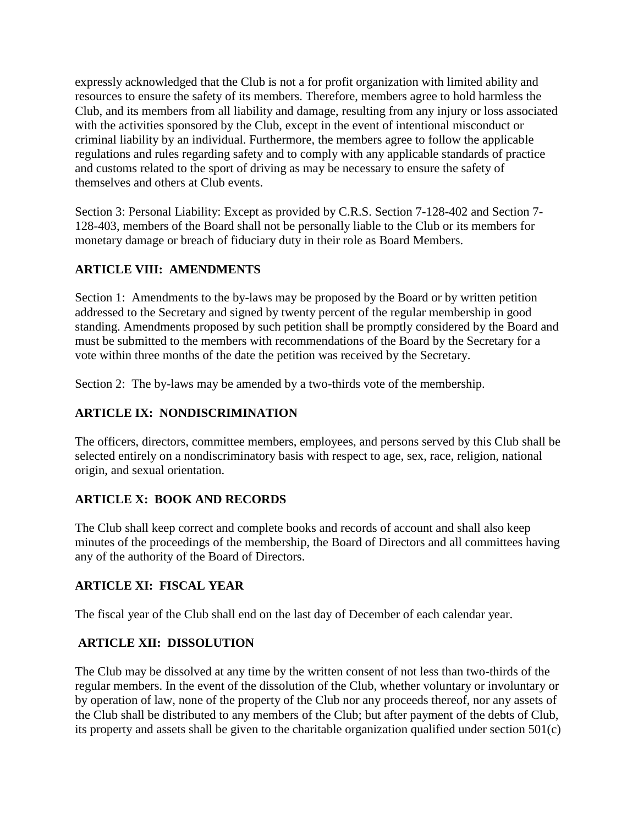expressly acknowledged that the Club is not a for profit organization with limited ability and resources to ensure the safety of its members. Therefore, members agree to hold harmless the Club, and its members from all liability and damage, resulting from any injury or loss associated with the activities sponsored by the Club, except in the event of intentional misconduct or criminal liability by an individual. Furthermore, the members agree to follow the applicable regulations and rules regarding safety and to comply with any applicable standards of practice and customs related to the sport of driving as may be necessary to ensure the safety of themselves and others at Club events.

Section 3: Personal Liability: Except as provided by C.R.S. Section 7-128-402 and Section 7- 128-403, members of the Board shall not be personally liable to the Club or its members for monetary damage or breach of fiduciary duty in their role as Board Members.

# **ARTICLE VIII: AMENDMENTS**

Section 1: Amendments to the by-laws may be proposed by the Board or by written petition addressed to the Secretary and signed by twenty percent of the regular membership in good standing. Amendments proposed by such petition shall be promptly considered by the Board and must be submitted to the members with recommendations of the Board by the Secretary for a vote within three months of the date the petition was received by the Secretary.

Section 2: The by-laws may be amended by a two-thirds vote of the membership.

# **ARTICLE IX: NONDISCRIMINATION**

The officers, directors, committee members, employees, and persons served by this Club shall be selected entirely on a nondiscriminatory basis with respect to age, sex, race, religion, national origin, and sexual orientation.

# **ARTICLE X: BOOK AND RECORDS**

The Club shall keep correct and complete books and records of account and shall also keep minutes of the proceedings of the membership, the Board of Directors and all committees having any of the authority of the Board of Directors.

# **ARTICLE XI: FISCAL YEAR**

The fiscal year of the Club shall end on the last day of December of each calendar year.

# **ARTICLE XII: DISSOLUTION**

The Club may be dissolved at any time by the written consent of not less than two-thirds of the regular members. In the event of the dissolution of the Club, whether voluntary or involuntary or by operation of law, none of the property of the Club nor any proceeds thereof, nor any assets of the Club shall be distributed to any members of the Club; but after payment of the debts of Club, its property and assets shall be given to the charitable organization qualified under section 501(c)